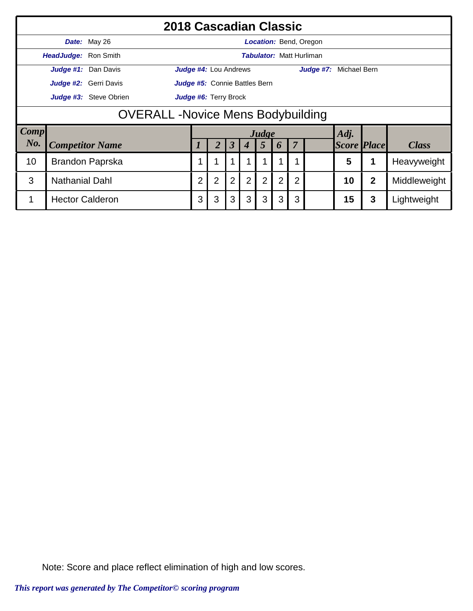|             |                                          | 2018 Cascadian Classic |                              |                               |                      |                  |                |   |                |                                 |                    |              |              |  |  |
|-------------|------------------------------------------|------------------------|------------------------------|-------------------------------|----------------------|------------------|----------------|---|----------------|---------------------------------|--------------------|--------------|--------------|--|--|
|             |                                          | Date: May 26           |                              |                               |                      |                  |                |   |                | <b>Location: Bend, Oregon</b>   |                    |              |              |  |  |
|             | <b>HeadJudge: Ron Smith</b>              |                        |                              |                               |                      |                  |                |   |                | <b>Tabulator: Matt Hurliman</b> |                    |              |              |  |  |
|             |                                          | Judge #1: Dan Davis    |                              | <b>Judge #4:</b> Lou Andrews  |                      |                  |                |   |                | <b>Judge #7:</b> Michael Bern   |                    |              |              |  |  |
|             |                                          | Judge #2: Gerri Davis  |                              | Judge #5: Connie Battles Bern |                      |                  |                |   |                |                                 |                    |              |              |  |  |
|             |                                          | Judge #3: Steve Obrien | <b>Judge #6: Terry Brock</b> |                               |                      |                  |                |   |                |                                 |                    |              |              |  |  |
|             | <b>OVERALL -Novice Mens Bodybuilding</b> |                        |                              |                               |                      |                  |                |   |                |                                 |                    |              |              |  |  |
| <b>Comp</b> |                                          |                        |                              |                               |                      |                  | Judge          |   |                |                                 | Adj.               |              |              |  |  |
| No.         |                                          | <b>Competitor Name</b> |                              | $\overline{2}$                | $\boldsymbol{\beta}$ | $\boldsymbol{4}$ | $\overline{5}$ | 6 | $\overline{7}$ |                                 | <b>Score Place</b> |              | <b>Class</b> |  |  |
| 10          |                                          | Brandon Paprska        |                              |                               |                      |                  |                |   |                |                                 | 5                  | 1            | Heavyweight  |  |  |
| 3           | <b>Nathanial Dahl</b>                    |                        | $\overline{2}$               | $\overline{2}$                | $\overline{2}$       | 2                | $\overline{2}$ | 2 | $\overline{2}$ |                                 | 10                 | $\mathbf{2}$ | Middleweight |  |  |
|             | <b>Hector Calderon</b>                   |                        | 3                            | 3                             | 3                    | 3                | 3              | 3 | 3              |                                 | 15                 | 3            | Lightweight  |  |  |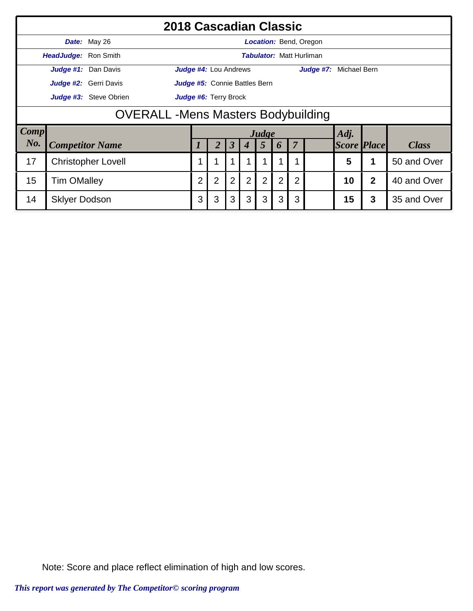|             |                                            | 2018 Cascadian Classic    |                              |                               |                      |                  |                |                |                |                                 |                    |                |              |  |  |
|-------------|--------------------------------------------|---------------------------|------------------------------|-------------------------------|----------------------|------------------|----------------|----------------|----------------|---------------------------------|--------------------|----------------|--------------|--|--|
|             |                                            | Date: May 26              |                              |                               |                      |                  |                |                |                | Location: Bend, Oregon          |                    |                |              |  |  |
|             | HeadJudge: Ron Smith                       |                           |                              |                               |                      |                  |                |                |                | <b>Tabulator: Matt Hurliman</b> |                    |                |              |  |  |
|             |                                            | Judge #1: Dan Davis       |                              | Judge #4: Lou Andrews         |                      |                  |                |                |                | Judge #7: Michael Bern          |                    |                |              |  |  |
|             |                                            | Judge #2: Gerri Davis     |                              | Judge #5: Connie Battles Bern |                      |                  |                |                |                |                                 |                    |                |              |  |  |
|             |                                            | Judge #3: Steve Obrien    | <b>Judge #6: Terry Brock</b> |                               |                      |                  |                |                |                |                                 |                    |                |              |  |  |
|             | <b>OVERALL</b> - Mens Masters Bodybuilding |                           |                              |                               |                      |                  |                |                |                |                                 |                    |                |              |  |  |
| <b>Comp</b> |                                            |                           |                              |                               |                      |                  | Judge          |                |                |                                 | Adj.               |                |              |  |  |
| No.         |                                            | <b>Competitor Name</b>    |                              | $\overline{2}$                | $\boldsymbol{\beta}$ | $\boldsymbol{4}$ | 5              | 6              | $\overline{7}$ |                                 | <b>Score Place</b> |                | <b>Class</b> |  |  |
| 17          |                                            | <b>Christopher Lovell</b> |                              |                               |                      |                  |                |                |                |                                 | 5                  |                | 50 and Over  |  |  |
| 15          | <b>Tim OMalley</b>                         |                           | $\overline{2}$               | $\overline{2}$                | $\overline{2}$       | $\overline{2}$   | $\overline{2}$ | $\overline{2}$ | $\overline{2}$ |                                 | 10                 | $\overline{2}$ | 40 and Over  |  |  |
| 14          | <b>Sklyer Dodson</b>                       |                           | 3                            | 3                             | 3                    | 3                | 3              | 3              | 3              |                                 | 15                 | 3              | 35 and Over  |  |  |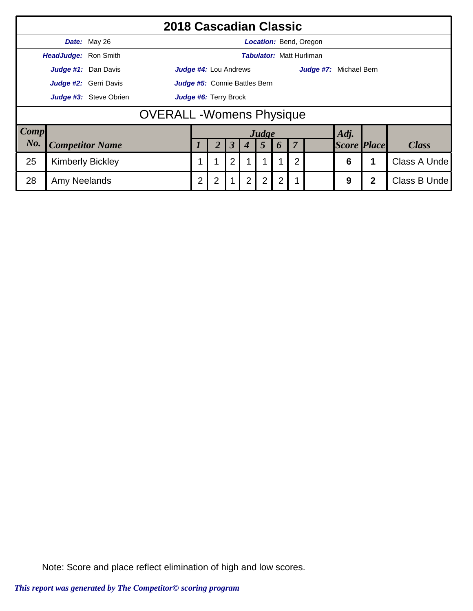|             |                                  |                        | 2018 Cascadian Classic               |                       |                              |                         |                |                |                |                |                                 |                    |   |              |  |  |
|-------------|----------------------------------|------------------------|--------------------------------------|-----------------------|------------------------------|-------------------------|----------------|----------------|----------------|----------------|---------------------------------|--------------------|---|--------------|--|--|
|             |                                  | Date: May 26           |                                      |                       |                              |                         |                |                |                |                | Location: Bend, Oregon          |                    |   |              |  |  |
|             | HeadJudge: Ron Smith             |                        |                                      |                       |                              |                         |                |                |                |                | <b>Tabulator: Matt Hurliman</b> |                    |   |              |  |  |
|             |                                  | Judge #1: Dan Davis    |                                      |                       | <b>Judge #4:</b> Lou Andrews |                         |                |                |                |                | Judge #7: Michael Bern          |                    |   |              |  |  |
|             |                                  | Judge #2: Gerri Davis  | <b>Judge #5:</b> Connie Battles Bern |                       |                              |                         |                |                |                |                |                                 |                    |   |              |  |  |
|             |                                  | Judge #3: Steve Obrien |                                      | Judge #6: Terry Brock |                              |                         |                |                |                |                |                                 |                    |   |              |  |  |
|             | <b>OVERALL</b> - Womens Physique |                        |                                      |                       |                              |                         |                |                |                |                |                                 |                    |   |              |  |  |
| <b>Comp</b> |                                  |                        |                                      |                       |                              |                         |                | Judge          |                |                |                                 | Adj.               |   |              |  |  |
| No.         |                                  | <b>Competitor Name</b> |                                      |                       |                              | $\overline{\mathbf{3}}$ |                | 5              | $\bm{0}$       | 7              |                                 | <b>Score Place</b> |   | <b>Class</b> |  |  |
| 25          | <b>Kimberly Bickley</b>          |                        |                                      |                       |                              | $\overline{2}$          |                |                |                | $\overline{2}$ |                                 | 6                  |   | Class A Unde |  |  |
| 28          | Amy Neelands                     |                        |                                      | $\overline{2}$        | $\overline{2}$               |                         | $\overline{2}$ | $\overline{2}$ | $\overline{2}$ | 1              |                                 | 9                  | 2 | Class B Unde |  |  |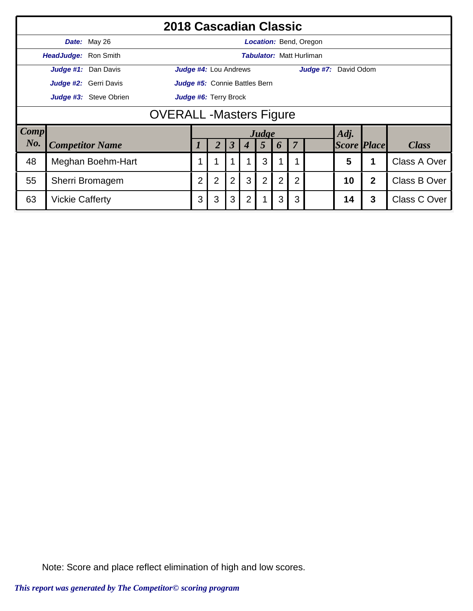|             |                                |                        | 2018 Cascadian Classic |                |                               |                      |                  |                |                |                |                                 |                    |                |              |  |
|-------------|--------------------------------|------------------------|------------------------|----------------|-------------------------------|----------------------|------------------|----------------|----------------|----------------|---------------------------------|--------------------|----------------|--------------|--|
|             |                                | Date: May 26           |                        |                |                               |                      |                  |                |                |                | Location: Bend, Oregon          |                    |                |              |  |
|             | <b>HeadJudge: Ron Smith</b>    |                        |                        |                |                               |                      |                  |                |                |                | <b>Tabulator: Matt Hurliman</b> |                    |                |              |  |
|             |                                | Judge #1: Dan Davis    |                        |                | Judge #4: Lou Andrews         |                      |                  |                |                |                | Judge #7: David Odom            |                    |                |              |  |
|             |                                | Judge #2: Gerri Davis  |                        |                | Judge #5: Connie Battles Bern |                      |                  |                |                |                |                                 |                    |                |              |  |
|             |                                | Judge #3: Steve Obrien | Judge #6: Terry Brock  |                |                               |                      |                  |                |                |                |                                 |                    |                |              |  |
|             | <b>OVERALL -Masters Figure</b> |                        |                        |                |                               |                      |                  |                |                |                |                                 |                    |                |              |  |
| <b>Comp</b> |                                |                        |                        |                |                               |                      |                  | Judge          |                |                |                                 | Adj.               |                |              |  |
| No.         |                                | <b>Competitor Name</b> |                        |                |                               | $\boldsymbol{\beta}$ | $\boldsymbol{4}$ | 5              | 6              | $\overline{7}$ |                                 | <b>Score Place</b> |                | <b>Class</b> |  |
| 48          |                                | Meghan Boehm-Hart      |                        | 1              | ◢                             |                      |                  | 3              |                |                |                                 | 5                  |                | Class A Over |  |
| 55          |                                | Sherri Bromagem        |                        | $\overline{2}$ | $\overline{2}$                | $\overline{2}$       | 3                | $\overline{2}$ | $\overline{2}$ | $\overline{2}$ |                                 | 10                 | $\overline{2}$ | Class B Over |  |
| 63          | <b>Vickie Cafferty</b>         |                        |                        | 3              | 3                             | 3                    | $\overline{2}$   |                | 3              | 3              |                                 | 14                 | 3              | Class C Over |  |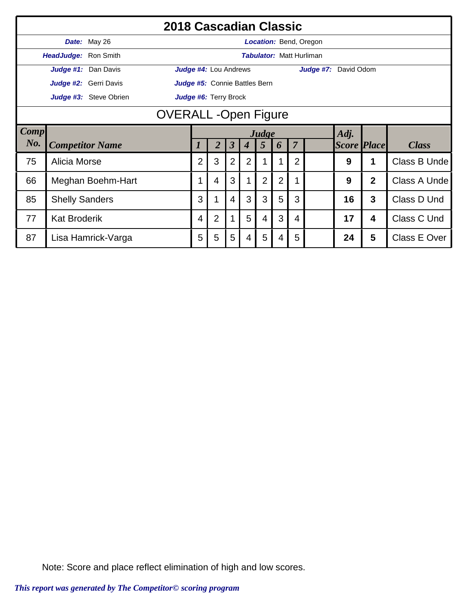|             |                       | 2018 Cascadian Classic |                            |                               |                      |                  |                |                |                |                                 |                    |                |              |
|-------------|-----------------------|------------------------|----------------------------|-------------------------------|----------------------|------------------|----------------|----------------|----------------|---------------------------------|--------------------|----------------|--------------|
|             |                       | Date: May 26           |                            |                               |                      |                  |                |                |                | Location: Bend, Oregon          |                    |                |              |
|             | HeadJudge: Ron Smith  |                        |                            |                               |                      |                  |                |                |                | <b>Tabulator: Matt Hurliman</b> |                    |                |              |
|             |                       | Judge #1: Dan Davis    |                            | Judge #4: Lou Andrews         |                      |                  |                |                |                | Judge #7: David Odom            |                    |                |              |
|             |                       | Judge #2: Gerri Davis  |                            | Judge #5: Connie Battles Bern |                      |                  |                |                |                |                                 |                    |                |              |
|             |                       | Judge #3: Steve Obrien |                            | Judge #6: Terry Brock         |                      |                  |                |                |                |                                 |                    |                |              |
|             |                       |                        | <b>OVERALL-Open Figure</b> |                               |                      |                  |                |                |                |                                 |                    |                |              |
| <b>Comp</b> |                       |                        | Adj.<br>Judge              |                               |                      |                  |                |                |                |                                 |                    |                |              |
| No.         |                       | <b>Competitor Name</b> | $\boldsymbol{l}$           | 2                             | $\boldsymbol{\beta}$ | $\boldsymbol{4}$ | $\overline{5}$ | 6              | $\overline{7}$ |                                 | <b>Score Place</b> |                | <b>Class</b> |
| 75          | Alicia Morse          |                        | 2                          | 3                             | $\overline{2}$       | 2                |                |                | $\overline{2}$ |                                 | 9                  | 1              | Class B Unde |
| 66          |                       | Meghan Boehm-Hart      |                            | 4                             | 3                    |                  | $\overline{2}$ | $\overline{2}$ |                |                                 | 9                  | $\overline{2}$ | Class A Unde |
| 85          | <b>Shelly Sanders</b> |                        | 3                          | 1                             | 4                    | 3                | 3              | 5              | 3              |                                 | 16                 | $\mathbf{3}$   | Class D Und  |
| 77          | <b>Kat Broderik</b>   |                        | 4                          | $\overline{2}$                |                      | 5                | 4              | 3              | 4              |                                 | 17                 | 4              | Class C Und  |
| 87          |                       | Lisa Hamrick-Varga     | 5                          | 5                             | 5                    | 4                | 5              | 4              | 5              |                                 | 24                 | 5              | Class E Over |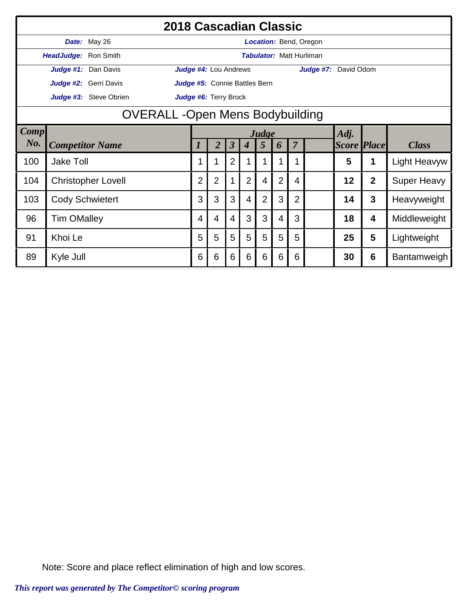|             |                        | 2018 Cascadian Classic    |                                       |                               |                      |                  |                |                |                |                                 |                    |                         |                    |
|-------------|------------------------|---------------------------|---------------------------------------|-------------------------------|----------------------|------------------|----------------|----------------|----------------|---------------------------------|--------------------|-------------------------|--------------------|
|             |                        | Date: May 26              |                                       |                               |                      |                  |                |                |                | <b>Location: Bend, Oregon</b>   |                    |                         |                    |
|             | HeadJudge: Ron Smith   |                           |                                       |                               |                      |                  |                |                |                | <b>Tabulator: Matt Hurliman</b> |                    |                         |                    |
|             |                        | Judge #1: Dan Davis       |                                       | <b>Judge #4: Lou Andrews</b>  |                      |                  |                |                |                | <b>Judge #7:</b> David Odom     |                    |                         |                    |
|             |                        | Judge #2: Gerri Davis     |                                       | Judge #5: Connie Battles Bern |                      |                  |                |                |                |                                 |                    |                         |                    |
|             |                        | Judge #3: Steve Obrien    |                                       | Judge #6: Terry Brock         |                      |                  |                |                |                |                                 |                    |                         |                    |
|             |                        |                           | <b>OVERALL-Open Mens Bodybuilding</b> |                               |                      |                  |                |                |                |                                 |                    |                         |                    |
| <b>Comp</b> |                        |                           | Adj.<br>Judge                         |                               |                      |                  |                |                |                |                                 |                    |                         |                    |
| $N0$ .      | <b>Competitor Name</b> |                           | 1                                     | $\overline{2}$                | $\boldsymbol{\beta}$ | $\boldsymbol{4}$ | 5              | 6              | $\overline{7}$ |                                 | <b>Score Place</b> |                         | <b>Class</b>       |
| 100         | <b>Jake Toll</b>       |                           |                                       | 1                             | $\overline{2}$       |                  |                |                | 1              |                                 | 5                  |                         | Light Heavyw       |
| 104         |                        | <b>Christopher Lovell</b> | $\overline{2}$                        | $\overline{2}$                | 1                    | $\overline{2}$   | 4              | $\overline{2}$ | 4              |                                 | 12                 | $\overline{2}$          | <b>Super Heavy</b> |
| 103         | <b>Cody Schwietert</b> |                           | 3                                     | 3                             | 3                    | 4                | $\overline{2}$ | 3              | $\overline{2}$ |                                 | 14                 | $\mathbf{3}$            | Heavyweight        |
| 96          | <b>Tim OMalley</b>     |                           | 4                                     | 4                             | 4                    | 3                | 3              | 4              | 3              |                                 | 18                 | $\overline{\mathbf{4}}$ | Middleweight       |
| 91          | Khoi Le                |                           | 5                                     | 5                             | 5                    | 5                | 5              | 5              | 5              |                                 | 25                 | 5                       | Lightweight        |
| 89          | Kyle Jull              |                           | 6                                     | 6                             | $6\phantom{1}6$      | 6                | 6              | 6              | 6              |                                 | 30                 | $6\phantom{1}6$         | Bantamweigh        |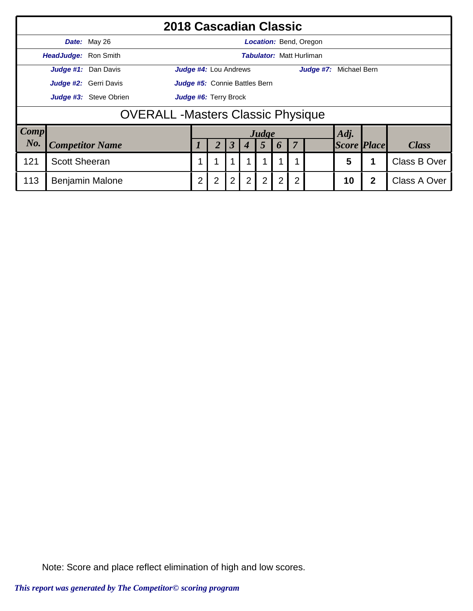|             |                      |                        | 2018 Cascadian Classic                  |   |                                      |   |   |                |                  |                |                                 |                    |   |              |  |
|-------------|----------------------|------------------------|-----------------------------------------|---|--------------------------------------|---|---|----------------|------------------|----------------|---------------------------------|--------------------|---|--------------|--|
|             |                      | Date: May 26           |                                         |   |                                      |   |   |                |                  |                | Location: Bend, Oregon          |                    |   |              |  |
|             | HeadJudge: Ron Smith |                        |                                         |   |                                      |   |   |                |                  |                | <b>Tabulator: Matt Hurliman</b> |                    |   |              |  |
|             |                      | Judge #1: Dan Davis    |                                         |   | <b>Judge #4:</b> Lou Andrews         |   |   |                |                  |                | Judge #7: Michael Bern          |                    |   |              |  |
|             |                      | Judge #2: Gerri Davis  |                                         |   | <b>Judge #5:</b> Connie Battles Bern |   |   |                |                  |                |                                 |                    |   |              |  |
|             |                      | Judge #3: Steve Obrien | Judge #6: Terry Brock                   |   |                                      |   |   |                |                  |                |                                 |                    |   |              |  |
|             |                      |                        | <b>OVERALL-Masters Classic Physique</b> |   |                                      |   |   |                |                  |                |                                 |                    |   |              |  |
| <b>Comp</b> |                      |                        |                                         |   |                                      |   |   | Judge          |                  |                |                                 | Adj.               |   |              |  |
| No.         |                      | <b>Competitor Name</b> |                                         |   |                                      | 3 |   | 5              | $\boldsymbol{p}$ | $\overline{7}$ |                                 | <b>Score Place</b> |   | <b>Class</b> |  |
| 121         | <b>Scott Sheeran</b> |                        |                                         |   |                                      |   |   |                |                  |                |                                 | 5                  |   | Class B Over |  |
| 113         |                      | <b>Benjamin Malone</b> |                                         | 2 | $\overline{2}$                       | 2 | 2 | $\overline{2}$ | 2                | $\overline{2}$ |                                 | 10                 | 2 | Class A Over |  |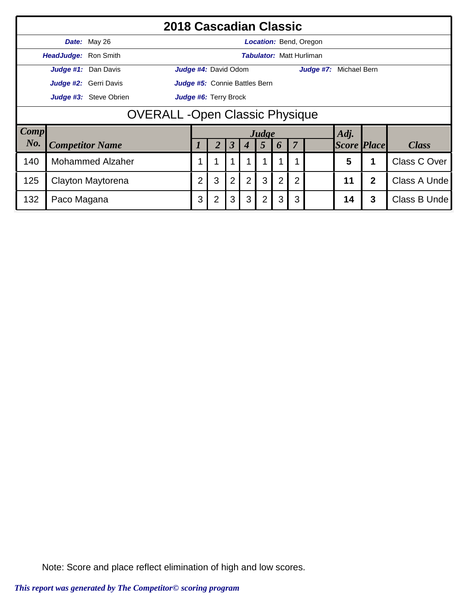|             |                                      | 2018 Cascadian Classic  |                       |                               |                      |                  |       |             |                |                                 |                    |                |              |  |
|-------------|--------------------------------------|-------------------------|-----------------------|-------------------------------|----------------------|------------------|-------|-------------|----------------|---------------------------------|--------------------|----------------|--------------|--|
|             |                                      | Date: May 26            |                       |                               |                      |                  |       |             |                | <b>Location: Bend, Oregon</b>   |                    |                |              |  |
|             | HeadJudge: Ron Smith                 |                         |                       |                               |                      |                  |       |             |                | <b>Tabulator: Matt Hurliman</b> |                    |                |              |  |
|             |                                      | Judge #1: Dan Davis     |                       | Judge #4: David Odom          |                      |                  |       |             |                | Judge #7: Michael Bern          |                    |                |              |  |
|             |                                      | Judge #2: Gerri Davis   |                       | Judge #5: Connie Battles Bern |                      |                  |       |             |                |                                 |                    |                |              |  |
|             |                                      | Judge #3: Steve Obrien  | Judge #6: Terry Brock |                               |                      |                  |       |             |                |                                 |                    |                |              |  |
|             | <b>OVERALL-Open Classic Physique</b> |                         |                       |                               |                      |                  |       |             |                |                                 |                    |                |              |  |
| <b>Comp</b> |                                      |                         |                       |                               |                      |                  | Judge |             |                |                                 | Adj.               |                |              |  |
| No.         |                                      | <b>Competitor Name</b>  |                       | 2                             | $\boldsymbol{\beta}$ | $\boldsymbol{4}$ | 5     | 6           | $\overline{7}$ |                                 | <b>Score Place</b> |                | <b>Class</b> |  |
| 140         |                                      | <b>Mohammed Alzaher</b> |                       |                               |                      |                  |       |             | 1              |                                 | 5                  | 1              | Class C Over |  |
| 125         |                                      | Clayton Maytorena       | $\overline{2}$        | 3                             | $\overline{2}$       | $\overline{2}$   | 3     | $2^{\circ}$ | $\overline{2}$ |                                 | 11                 | $\overline{2}$ | Class A Unde |  |
| 132         | Paco Magana                          |                         | 3                     | $\overline{2}$                | 3                    | 3                | 2     | 3           | 3              |                                 | 14                 | 3              | Class B Unde |  |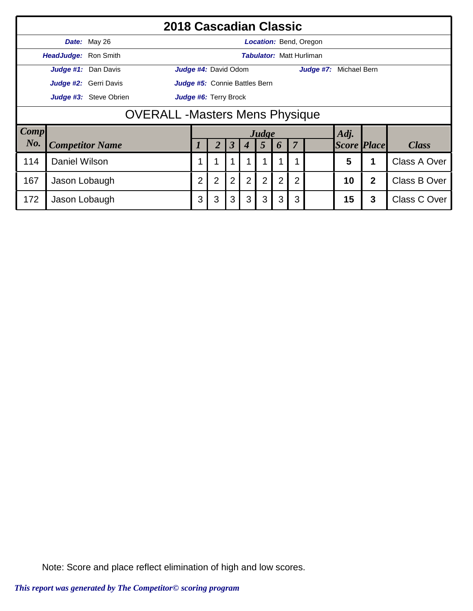|             |                                       | 2018 Cascadian Classic |                       |                               |                      |                  |                |   |                |                                 |                    |              |                     |  |
|-------------|---------------------------------------|------------------------|-----------------------|-------------------------------|----------------------|------------------|----------------|---|----------------|---------------------------------|--------------------|--------------|---------------------|--|
|             |                                       | Date: May 26           |                       |                               |                      |                  |                |   |                | <b>Location: Bend, Oregon</b>   |                    |              |                     |  |
|             | <b>HeadJudge: Ron Smith</b>           |                        |                       |                               |                      |                  |                |   |                | <b>Tabulator: Matt Hurliman</b> |                    |              |                     |  |
|             |                                       | Judge #1: Dan Davis    |                       | Judge #4: David Odom          |                      |                  |                |   |                | Judge #7: Michael Bern          |                    |              |                     |  |
|             |                                       | Judge #2: Gerri Davis  |                       | Judge #5: Connie Battles Bern |                      |                  |                |   |                |                                 |                    |              |                     |  |
|             |                                       | Judge #3: Steve Obrien | Judge #6: Terry Brock |                               |                      |                  |                |   |                |                                 |                    |              |                     |  |
|             | <b>OVERALL -Masters Mens Physique</b> |                        |                       |                               |                      |                  |                |   |                |                                 |                    |              |                     |  |
| <b>Comp</b> |                                       |                        |                       |                               |                      |                  | Judge          |   |                |                                 | Adj.               |              |                     |  |
| No.         |                                       | <b>Competitor Name</b> |                       | $\overline{2}$                | $\boldsymbol{\beta}$ | $\boldsymbol{4}$ | $\overline{5}$ | 6 | $\overline{7}$ |                                 | <b>Score Place</b> |              | <b>Class</b>        |  |
| 114         | Daniel Wilson                         |                        |                       |                               |                      |                  |                |   |                |                                 | 5                  | 1            | Class A Over        |  |
| 167         | Jason Lobaugh                         |                        | $\overline{2}$        | $\overline{2}$                | $\overline{2}$       | 2                | $\overline{2}$ | 2 | $\overline{2}$ |                                 | 10                 | $\mathbf{2}$ | <b>Class B Over</b> |  |
| 172         | Jason Lobaugh                         |                        | 3                     | 3                             | 3                    | 3                | 3              | 3 | 3              |                                 | 15                 | 3            | <b>Class C Over</b> |  |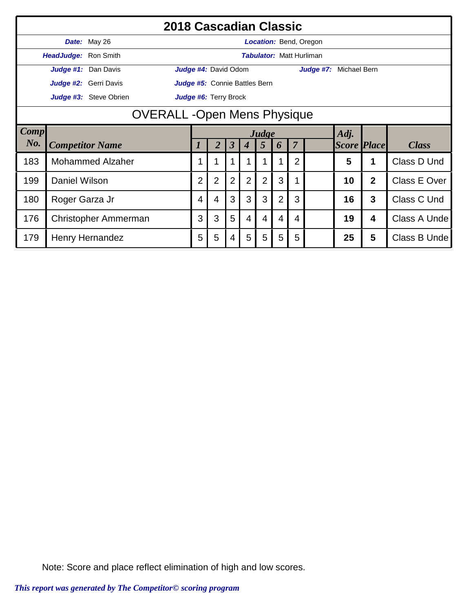|      |                      |                         | 2018 Cascadian Classic            |                |                |                      |                  |                 |                |                |                                 |                    |                  |              |
|------|----------------------|-------------------------|-----------------------------------|----------------|----------------|----------------------|------------------|-----------------|----------------|----------------|---------------------------------|--------------------|------------------|--------------|
|      |                      | Date: May 26            |                                   |                |                |                      |                  |                 |                |                | <b>Location: Bend, Oregon</b>   |                    |                  |              |
|      | HeadJudge: Ron Smith |                         |                                   |                |                |                      |                  |                 |                |                | <b>Tabulator: Matt Hurliman</b> |                    |                  |              |
|      |                      | Judge #1: Dan Davis     | Judge #4: David Odom              |                |                |                      |                  |                 |                |                | Judge #7: Michael Bern          |                    |                  |              |
|      |                      | Judge #2: Gerri Davis   | Judge #5: Connie Battles Bern     |                |                |                      |                  |                 |                |                |                                 |                    |                  |              |
|      |                      | Judge #3: Steve Obrien  | Judge #6: Terry Brock             |                |                |                      |                  |                 |                |                |                                 |                    |                  |              |
|      |                      |                         | <b>OVERALL-Open Mens Physique</b> |                |                |                      |                  |                 |                |                |                                 |                    |                  |              |
| Comp |                      |                         | Adj.<br>Judge                     |                |                |                      |                  |                 |                |                |                                 |                    |                  |              |
| No.  |                      | <b>Competitor Name</b>  |                                   |                | 2              | $\boldsymbol{\beta}$ | $\boldsymbol{4}$ | $5\overline{)}$ | 6              | $\overline{7}$ |                                 | <b>Score Place</b> |                  | <b>Class</b> |
| 183  |                      | <b>Mohammed Alzaher</b> |                                   |                |                |                      |                  |                 |                | $\overline{2}$ |                                 | 5                  |                  | Class D Und  |
| 199  | Daniel Wilson        |                         |                                   | $\overline{2}$ | $\overline{2}$ | $\overline{2}$       | $\overline{2}$   | $\overline{2}$  | 3              |                |                                 | 10                 | $\overline{2}$   | Class E Over |
| 180  | Roger Garza Jr       |                         |                                   | 4              | $\overline{4}$ | 3                    | 3                | 3               | $\overline{2}$ | 3              |                                 | 16                 | 3                | Class C Und  |
| 176  |                      | Christopher Ammerman    |                                   | 3              | 3              | 5                    | $\overline{4}$   | 4               | 4              | 4              |                                 | 19                 | $\boldsymbol{4}$ | Class A Unde |
| 179  |                      | Henry Hernandez         |                                   | 5              | 5              | 4                    | 5                | 5               | 5              | 5              |                                 | 25                 | 5                | Class B Unde |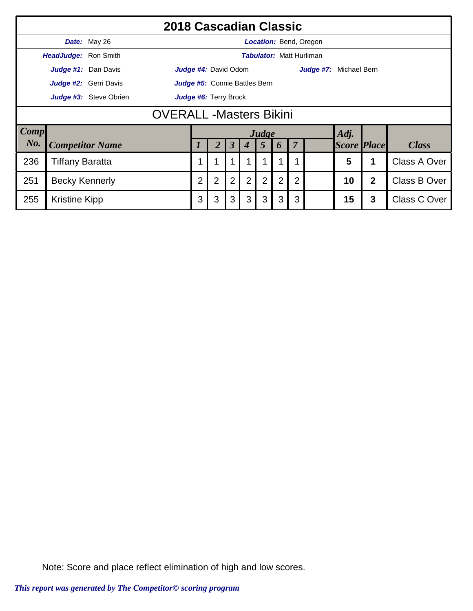|      |                                 |                        | 2018 Cascadian Classic |                |                               |                |                  |                |   |                |                                 |                    |                |              |
|------|---------------------------------|------------------------|------------------------|----------------|-------------------------------|----------------|------------------|----------------|---|----------------|---------------------------------|--------------------|----------------|--------------|
|      |                                 | Date: May 26           |                        |                |                               |                |                  |                |   |                | Location: Bend, Oregon          |                    |                |              |
|      | <b>HeadJudge: Ron Smith</b>     |                        |                        |                |                               |                |                  |                |   |                | <b>Tabulator: Matt Hurliman</b> |                    |                |              |
|      |                                 | Judge #1: Dan Davis    |                        |                | Judge #4: David Odom          |                |                  |                |   |                | Judge #7: Michael Bern          |                    |                |              |
|      |                                 | Judge #2: Gerri Davis  |                        |                | Judge #5: Connie Battles Bern |                |                  |                |   |                |                                 |                    |                |              |
|      |                                 | Judge #3: Steve Obrien | Judge #6: Terry Brock  |                |                               |                |                  |                |   |                |                                 |                    |                |              |
|      | <b>OVERALL</b> - Masters Bikini |                        |                        |                |                               |                |                  |                |   |                |                                 |                    |                |              |
| Comp |                                 |                        |                        |                |                               |                |                  | Judge          |   |                |                                 | Adj.               |                |              |
| No.  |                                 | <b>Competitor Name</b> |                        |                | 2                             | $\mathfrak{Z}$ | $\boldsymbol{4}$ | 5              | 6 | $\overline{7}$ |                                 | <b>Score Place</b> |                | <b>Class</b> |
| 236  | <b>Tiffany Baratta</b>          |                        |                        | 1              | и                             |                |                  |                |   | 1              |                                 | 5                  | 1              | Class A Over |
| 251  | <b>Becky Kennerly</b>           |                        |                        | $\overline{2}$ | $\overline{2}$                | $\overline{2}$ | $\overline{2}$   | $\overline{2}$ | 2 | $\overline{2}$ |                                 | 10                 | $\overline{2}$ | Class B Over |
| 255  | <b>Kristine Kipp</b>            |                        |                        | 3              | 3                             | 3              | 3                | 3              | 3 | 3              |                                 | 15                 | 3              | Class C Over |